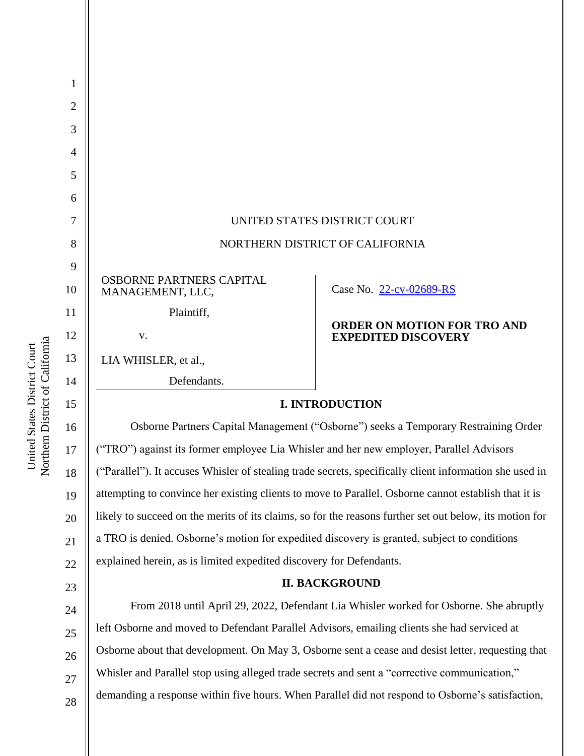| 1  |                                                                                                         |                                                                                                  |
|----|---------------------------------------------------------------------------------------------------------|--------------------------------------------------------------------------------------------------|
| 2  |                                                                                                         |                                                                                                  |
| 3  |                                                                                                         |                                                                                                  |
| 4  |                                                                                                         |                                                                                                  |
| 5  |                                                                                                         |                                                                                                  |
| 6  |                                                                                                         |                                                                                                  |
| 7  | UNITED STATES DISTRICT COURT                                                                            |                                                                                                  |
| 8  | NORTHERN DISTRICT OF CALIFORNIA                                                                         |                                                                                                  |
| 9  |                                                                                                         |                                                                                                  |
| 10 | OSBORNE PARTNERS CAPITAL<br>MANAGEMENT, LLC,                                                            | Case No. 22-cv-02689-RS                                                                          |
| 11 | Plaintiff,                                                                                              |                                                                                                  |
| 12 | V.                                                                                                      | <b>ORDER ON MOTION FOR TRO AND</b><br><b>EXPEDITED DISCOVERY</b>                                 |
| 13 | LIA WHISLER, et al.,                                                                                    |                                                                                                  |
| 14 | Defendants.                                                                                             |                                                                                                  |
| 15 | <b>I. INTRODUCTION</b>                                                                                  |                                                                                                  |
| 16 | Osborne Partners Capital Management ("Osborne") seeks a Temporary Restraining Order                     |                                                                                                  |
| 17 | ("TRO") against its former employee Lia Whisler and her new employer, Parallel Advisors                 |                                                                                                  |
| 18 | ("Parallel"). It accuses Whisler of stealing trade secrets, specifically client information she used in |                                                                                                  |
| 19 | attempting to convince her existing clients to move to Parallel. Osborne cannot establish that it is    |                                                                                                  |
| 20 | likely to succeed on the merits of its claims, so for the reasons further set out below, its motion for |                                                                                                  |
| 21 | a TRO is denied. Osborne's motion for expedited discovery is granted, subject to conditions             |                                                                                                  |
| 22 | explained herein, as is limited expedited discovery for Defendants.                                     |                                                                                                  |
| 23 | <b>II. BACKGROUND</b>                                                                                   |                                                                                                  |
| 24 | From 2018 until April 29, 2022, Defendant Lia Whisler worked for Osborne. She abruptly                  |                                                                                                  |
| 25 | left Osborne and moved to Defendant Parallel Advisors, emailing clients she had serviced at             |                                                                                                  |
| 26 | Osborne about that development. On May 3, Osborne sent a cease and desist letter, requesting that       |                                                                                                  |
| 27 | Whisler and Parallel stop using alleged trade secrets and sent a "corrective communication,"            |                                                                                                  |
| 28 |                                                                                                         | demanding a response within five hours. When Parallel did not respond to Osborne's satisfaction, |
|    |                                                                                                         |                                                                                                  |

United States District Court<br>Northern District of California Northern District of California United States District Court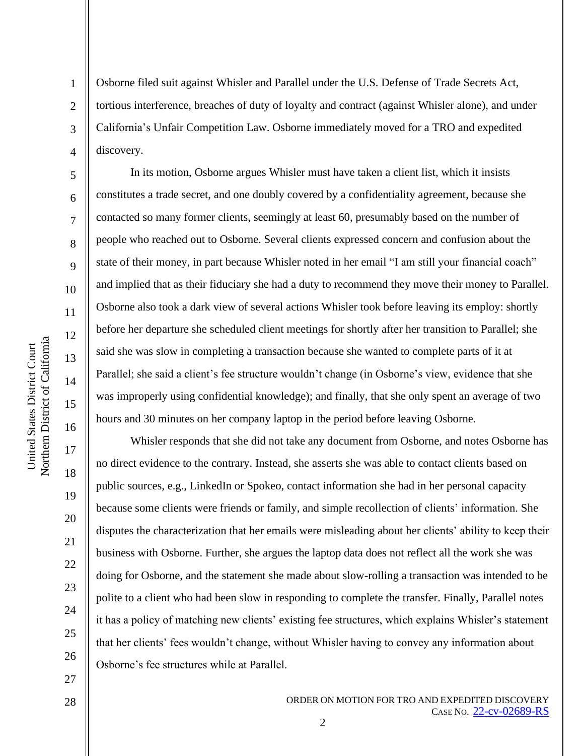2

3

4

5

6

7

8

9

10

11

12

13

14

15

16

17

18

19

20

21

22

23

24

25

26

27

Osborne filed suit against Whisler and Parallel under the U.S. Defense of Trade Secrets Act, tortious interference, breaches of duty of loyalty and contract (against Whisler alone), and under California's Unfair Competition Law. Osborne immediately moved for a TRO and expedited discovery.

In its motion, Osborne argues Whisler must have taken a client list, which it insists constitutes a trade secret, and one doubly covered by a confidentiality agreement, because she contacted so many former clients, seemingly at least 60, presumably based on the number of people who reached out to Osborne. Several clients expressed concern and confusion about the state of their money, in part because Whisler noted in her email "I am still your financial coach" and implied that as their fiduciary she had a duty to recommend they move their money to Parallel. Osborne also took a dark view of several actions Whisler took before leaving its employ: shortly before her departure she scheduled client meetings for shortly after her transition to Parallel; she said she was slow in completing a transaction because she wanted to complete parts of it at Parallel; she said a client's fee structure wouldn't change (in Osborne's view, evidence that she was improperly using confidential knowledge); and finally, that she only spent an average of two hours and 30 minutes on her company laptop in the period before leaving Osborne.

Whisler responds that she did not take any document from Osborne, and notes Osborne has no direct evidence to the contrary. Instead, she asserts she was able to contact clients based on public sources, e.g., LinkedIn or Spokeo, contact information she had in her personal capacity because some clients were friends or family, and simple recollection of clients' information. She disputes the characterization that her emails were misleading about her clients' ability to keep their business with Osborne. Further, she argues the laptop data does not reflect all the work she was doing for Osborne, and the statement she made about slow-rolling a transaction was intended to be polite to a client who had been slow in responding to complete the transfer. Finally, Parallel notes it has a policy of matching new clients' existing fee structures, which explains Whisler's statement that her clients' fees wouldn't change, without Whisler having to convey any information about Osborne's fee structures while at Parallel.

2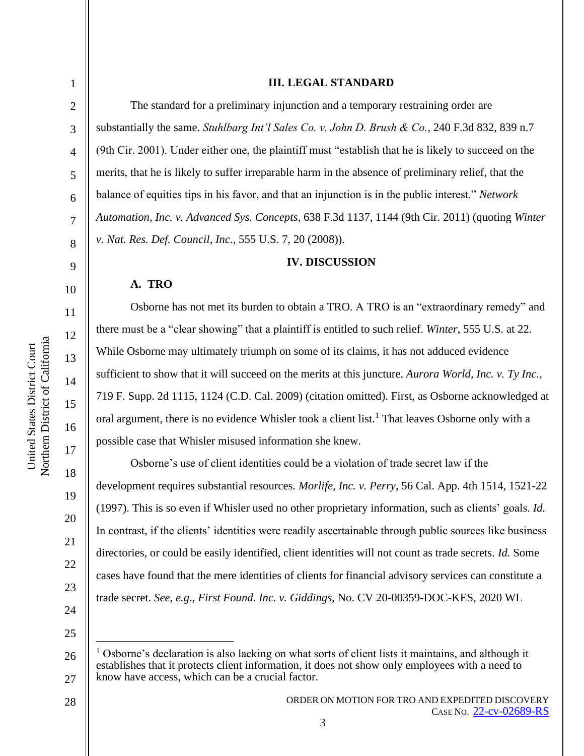2

3

4

5

6

7

8

9

10

11

13

14

15

United States District Court

16

17

18

19

20

21

22

23

24

25

#### **III. LEGAL STANDARD**

The standard for a preliminary injunction and a temporary restraining order are substantially the same. *Stuhlbarg Int'l Sales Co. v. John D. Brush & Co.*, 240 F.3d 832, 839 n.7 (9th Cir. 2001). Under either one, the plaintiff must "establish that he is likely to succeed on the merits, that he is likely to suffer irreparable harm in the absence of preliminary relief, that the balance of equities tips in his favor, and that an injunction is in the public interest." *Network Automation, Inc. v. Advanced Sys. Concepts*, 638 F.3d 1137, 1144 (9th Cir. 2011) (quoting *Winter v. Nat. Res. Def. Council, Inc.*, 555 U.S. 7, 20 (2008)).

### **IV. DISCUSSION**

# **A. TRO**

Osborne has not met its burden to obtain a TRO. A TRO is an "extraordinary remedy" and there must be a "clear showing" that a plaintiff is entitled to such relief. *Winter*, 555 U.S. at 22. While Osborne may ultimately triumph on some of its claims, it has not adduced evidence sufficient to show that it will succeed on the merits at this juncture. *Aurora World, Inc. v. Ty Inc.*, 719 F. Supp. 2d 1115, 1124 (C.D. Cal. 2009) (citation omitted). First, as Osborne acknowledged at oral argument, there is no evidence Whisler took a client list.<sup>1</sup> That leaves Osborne only with a possible case that Whisler misused information she knew.

Osborne's use of client identities could be a violation of trade secret law if the development requires substantial resources. *Morlife, Inc. v. Perry*, 56 Cal. App. 4th 1514, 1521-22 (1997). This is so even if Whisler used no other proprietary information, such as clients' goals. *Id.* In contrast, if the clients' identities were readily ascertainable through public sources like business directories, or could be easily identified, client identities will not count as trade secrets. *Id.* Some cases have found that the mere identities of clients for financial advisory services can constitute a trade secret. *See, e.g.*, *First Found. Inc. v. Giddings*, No. CV 20-00359-DOC-KES, 2020 WL

3

<sup>26</sup> 27 <sup>1</sup> Osborne's declaration is also lacking on what sorts of client lists it maintains, and although it establishes that it protects client information, it does not show only employees with a need to know have access, which can be a crucial factor.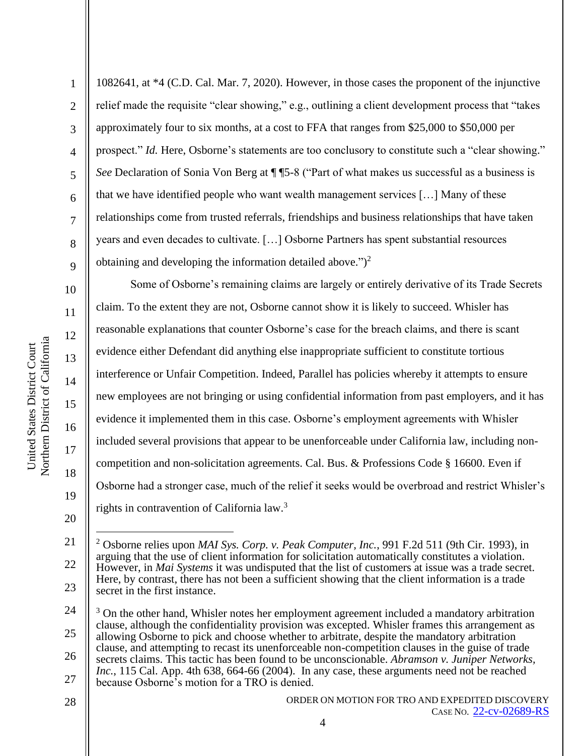2

3

4

5

6

7

8

9

10

11

12

13

14

15

16

17

18

19

20

1082641, at \*4 (C.D. Cal. Mar. 7, 2020). However, in those cases the proponent of the injunctive relief made the requisite "clear showing," e.g., outlining a client development process that "takes approximately four to six months, at a cost to FFA that ranges from \$25,000 to \$50,000 per prospect." *Id.* Here, Osborne's statements are too conclusory to constitute such a "clear showing." *See* Declaration of Sonia Von Berg at  $\P$   $5-8$  ("Part of what makes us successful as a business is that we have identified people who want wealth management services […] Many of these relationships come from trusted referrals, friendships and business relationships that have taken years and even decades to cultivate. […] Osborne Partners has spent substantial resources obtaining and developing the information detailed above.")<sup>2</sup>

Some of Osborne's remaining claims are largely or entirely derivative of its Trade Secrets claim. To the extent they are not, Osborne cannot show it is likely to succeed. Whisler has reasonable explanations that counter Osborne's case for the breach claims, and there is scant evidence either Defendant did anything else inappropriate sufficient to constitute tortious interference or Unfair Competition. Indeed, Parallel has policies whereby it attempts to ensure new employees are not bringing or using confidential information from past employers, and it has evidence it implemented them in this case. Osborne's employment agreements with Whisler included several provisions that appear to be unenforceable under California law, including noncompetition and non-solicitation agreements. Cal. Bus. & Professions Code § 16600. Even if Osborne had a stronger case, much of the relief it seeks would be overbroad and restrict Whisler's rights in contravention of California law.<sup>3</sup>

<sup>21</sup> 22 23 <sup>2</sup> Osborne relies upon *MAI Sys. Corp. v. Peak Computer, Inc.*, 991 F.2d 511 (9th Cir. 1993), in arguing that the use of client information for solicitation automatically constitutes a violation. However, in *Mai Systems* it was undisputed that the list of customers at issue was a trade secret. Here, by contrast, there has not been a sufficient showing that the client information is a trade secret in the first instance.

<sup>24</sup> 25 26 27 <sup>3</sup> On the other hand, Whisler notes her employment agreement included a mandatory arbitration clause, although the confidentiality provision was excepted. Whisler frames this arrangement as allowing Osborne to pick and choose whether to arbitrate, despite the mandatory arbitration clause, and attempting to recast its unenforceable non-competition clauses in the guise of trade secrets claims. This tactic has been found to be unconscionable. *Abramson v. Juniper Networks, Inc.*, 115 Cal. App. 4th 638, 664-66 (2004). In any case, these arguments need not be reached because Osborne's motion for a TRO is denied.

<sup>28</sup>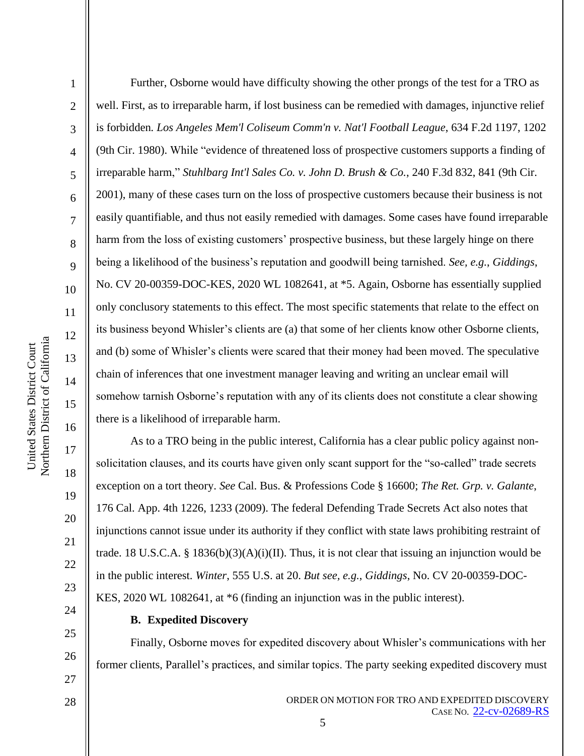2

3

4

5

6

7

8

9

10

11

12

13

14

15

16

17

18

19

20

21

22

23

Further, Osborne would have difficulty showing the other prongs of the test for a TRO as well. First, as to irreparable harm, if lost business can be remedied with damages, injunctive relief is forbidden*. Los Angeles Mem'l Coliseum Comm'n v. Nat'l Football League*, 634 F.2d 1197, 1202 (9th Cir. 1980). While "evidence of threatened loss of prospective customers supports a finding of irreparable harm," *Stuhlbarg Int'l Sales Co. v. John D. Brush & Co.*, 240 F.3d 832, 841 (9th Cir. 2001), many of these cases turn on the loss of prospective customers because their business is not easily quantifiable, and thus not easily remedied with damages. Some cases have found irreparable harm from the loss of existing customers' prospective business, but these largely hinge on there being a likelihood of the business's reputation and goodwill being tarnished. *See, e.g.*, *Giddings*, No. CV 20-00359-DOC-KES, 2020 WL 1082641, at \*5. Again, Osborne has essentially supplied only conclusory statements to this effect. The most specific statements that relate to the effect on its business beyond Whisler's clients are (a) that some of her clients know other Osborne clients, and (b) some of Whisler's clients were scared that their money had been moved. The speculative chain of inferences that one investment manager leaving and writing an unclear email will somehow tarnish Osborne's reputation with any of its clients does not constitute a clear showing there is a likelihood of irreparable harm.

As to a TRO being in the public interest, California has a clear public policy against nonsolicitation clauses, and its courts have given only scant support for the "so-called" trade secrets exception on a tort theory. *See* Cal. Bus. & Professions Code § 16600; *The Ret. Grp. v. Galante*, 176 Cal. App. 4th 1226, 1233 (2009). The federal Defending Trade Secrets Act also notes that injunctions cannot issue under its authority if they conflict with state laws prohibiting restraint of trade. 18 U.S.C.A. § 1836(b)(3)(A)(i)(II). Thus, it is not clear that issuing an injunction would be in the public interest. *Winter*, 555 U.S. at 20. *But see, e.g.*, *Giddings*, No. CV 20-00359-DOC-KES, 2020 WL 1082641, at \*6 (finding an injunction was in the public interest).

24 25

26

27

28

## **B. Expedited Discovery**

Finally, Osborne moves for expedited discovery about Whisler's communications with her former clients, Parallel's practices, and similar topics. The party seeking expedited discovery must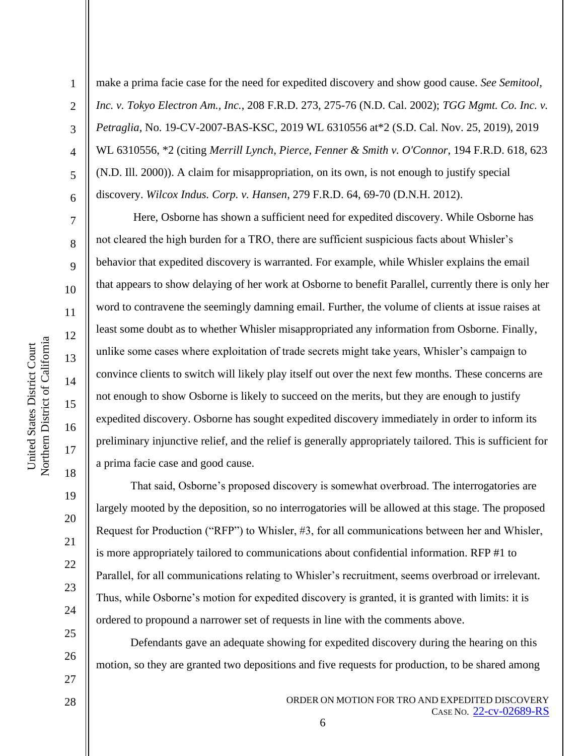2

3

4

5

6

7

8

9

10

11

12

13

14

15

16

17

18

19

20

21

22

23

24

25

26

27

make a prima facie case for the need for expedited discovery and show good cause. *See Semitool, Inc. v. Tokyo Electron Am., Inc.*, 208 F.R.D. 273, 275-76 (N.D. Cal. 2002); *TGG Mgmt. Co. Inc. v. Petraglia*, No. 19-CV-2007-BAS-KSC, 2019 WL 6310556 at\*2 (S.D. Cal. Nov. 25, 2019), 2019 WL 6310556, \*2 (citing *Merrill Lynch, Pierce, Fenner & Smith v. O'Connor*, 194 F.R.D. 618, 623 (N.D. Ill. 2000)). A claim for misappropriation, on its own, is not enough to justify special discovery. *Wilcox Indus. Corp. v. Hansen*, 279 F.R.D. 64, 69-70 (D.N.H. 2012).

Here, Osborne has shown a sufficient need for expedited discovery. While Osborne has not cleared the high burden for a TRO, there are sufficient suspicious facts about Whisler's behavior that expedited discovery is warranted. For example, while Whisler explains the email that appears to show delaying of her work at Osborne to benefit Parallel, currently there is only her word to contravene the seemingly damning email. Further, the volume of clients at issue raises at least some doubt as to whether Whisler misappropriated any information from Osborne. Finally, unlike some cases where exploitation of trade secrets might take years, Whisler's campaign to convince clients to switch will likely play itself out over the next few months. These concerns are not enough to show Osborne is likely to succeed on the merits, but they are enough to justify expedited discovery. Osborne has sought expedited discovery immediately in order to inform its preliminary injunctive relief, and the relief is generally appropriately tailored. This is sufficient for a prima facie case and good cause.

That said, Osborne's proposed discovery is somewhat overbroad. The interrogatories are largely mooted by the deposition, so no interrogatories will be allowed at this stage. The proposed Request for Production ("RFP") to Whisler, #3, for all communications between her and Whisler, is more appropriately tailored to communications about confidential information. RFP #1 to Parallel, for all communications relating to Whisler's recruitment, seems overbroad or irrelevant. Thus, while Osborne's motion for expedited discovery is granted, it is granted with limits: it is ordered to propound a narrower set of requests in line with the comments above.

Defendants gave an adequate showing for expedited discovery during the hearing on this motion, so they are granted two depositions and five requests for production, to be shared among

6